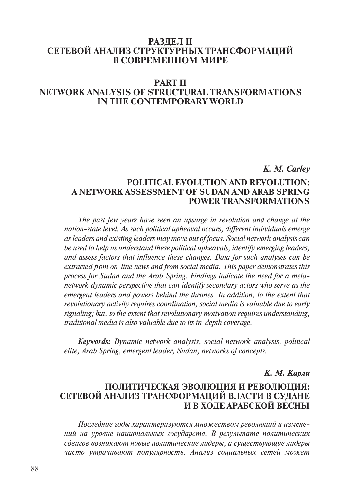## **Раздел II Сетевой анализ структурных трансформаций в современном мире**

# **Part II network analysis of structural transformations IN THE CONTEMPORARY WORLD**

### *K. M. Carley*

## **Political Evolution and Revolution: A Network Assessment of Sudan and Arab Spring Power Transformations**

*The past few years have seen an upsurge in revolution and change at the nation-state level. As such political upheaval occurs, different individuals emerge as leaders and existing leaders may move out of focus. Social network analysis can be used to help us understand these political upheavals, identify emerging leaders, and assess factors that influence these changes. Data for such analyses can be extracted from on-line news and from social media. This paper demonstrates this process for Sudan and the Arab Spring. Findings indicate the need for a metanetwork dynamic perspective that can identify secondary actors who serve as the emergent leaders and powers behind the thrones. In addition, to the extent that revolutionary activity requires coordination, social media is valuable due to early signaling; but, to the extent that revolutionary motivation requires understanding, traditional media is also valuable due to its in-depth coverage.* 

*Keywords: Dynamic network analysis, social network analysis, political elite, Arab Spring, emergent leader, Sudan, networks of concepts.*

## *К. М. Карли*

## **Политическая эволюция и революция: сетевой анализ трансформаций власти в Судане и в ходе Арабской весны**

*Последние годы характеризуются множеством революций и изменений на уровне национальных государств. В результате политических сдвигов возникают новые политические лидеры, а существующие лидеры часто утрачивают популярность. Анализ социальных сетей может*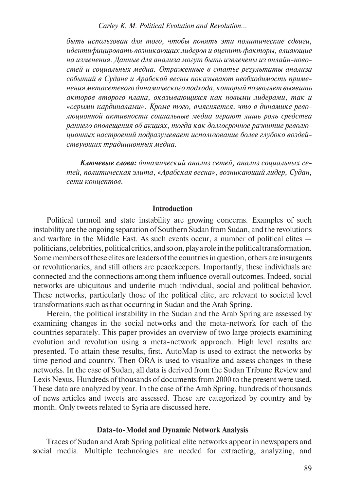*быть использован для того, чтобы понять эти политические сдвиги, идентифицировать возникающих лидеров и оценить факторы, влияющие на изменения. Данные для анализа могут быть извлечены из онлайн-новостей и социальных медиа. Отраженные в статье результаты анализа событий в Судане и Арабской весны показывают необходимость применения метасетевого динамического подхода, который позволяет выявить акторов второго плана, оказывающихся как новыми лидерами, так и «серыми кардиналами». Кроме того, выясняется, что в динамике революционной активности социальные медиа играют лишь роль средства раннего оповещения об акциях, тогда как долгосрочное развитие революционных настроений подразумевает использование более глубоко воздействующих традиционных медиа.*

*Ключевые слова: динамический анализ сетей, анализ социальных сетей, политическая элита, «Арабская весна», возникающий лидер, Судан, сети концептов.* 

#### **Introduction**

Political turmoil and state instability are growing concerns. Examples of such instability are the ongoing separation of Southern Sudan from Sudan, and the revolutions and warfare in the Middle East. As such events occur, a number of political elites politicians, celebrities, political critics, and so on, play a role in the political transformation. Some members of these elites are leaders of the countries in question, others are insurgents or revolutionaries, and still others are peacekeepers. Importantly, these individuals are connected and the connections among them influence overall outcomes. Indeed, social networks are ubiquitous and underlie much individual, social and political behavior. These networks, particularly those of the political elite, are relevant to societal level transformations such as that occurring in Sudan and the Arab Spring.

Herein, the political instability in the Sudan and the Arab Spring are assessed by examining changes in the social networks and the meta-network for each of the countries separately. This paper provides an overview of two large projects examining evolution and revolution using a meta-network approach. High level results are presented. To attain these results, first, AutoMap is used to extract the networks by time period and country. Then ORA is used to visualize and assess changes in these networks. In the case of Sudan, all data is derived from the Sudan Tribune Review and Lexis Nexus. Hundreds of thousands of documents from 2000 to the present were used. These data are analyzed by year. In the case of the Arab Spring, hundreds of thousands of news articles and tweets are assessed. These are categorized by country and by month. Only tweets related to Syria are discussed here.

#### **Data-to-Model and Dynamic Network Analysis**

Traces of Sudan and Arab Spring political elite networks appear in newspapers and social media. Multiple technologies are needed for extracting, analyzing, and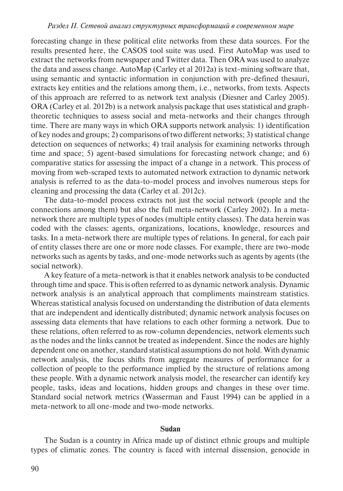forecasting change in these political elite networks from these data sources. For the results presented here, the CASOS tool suite was used. First AutoMap was used to extract the networks from newspaper and Twitter data. Then ORA was used to analyze the data and assess change. AutoMap (Carley et al 2012a) is text-mining software that, using semantic and syntactic information in conjunction with pre-defined thesauri, extracts key entities and the relations among them, i.e., networks, from texts. Aspects of this approach are referred to as network text analysis (Diesner and Carley 2005). ORA (Carley et al. 2012b) is a network analysis package that uses statistical and graphtheoretic techniques to assess social and meta-networks and their changes through time. There are many ways in which ORA supports network analysis: 1) identification of key nodes and groups; 2) comparisons of two different networks; 3) statistical change detection on sequences of networks; 4) trail analysis for examining networks through time and space; 5) agent-based simulations for forecasting network change; and 6) comparative statics for assessing the impact of a change in a network. This process of moving from web-scraped texts to automated network extraction to dynamic network analysis is referred to as the data-to-model process and involves numerous steps for cleaning and processing the data (Carley et al. 2012c).

The data-to-model process extracts not just the social network (people and the connections among them) but also the full meta-network (Carley 2002). In a metanetwork there are multiple types of nodes (multiple entity classes). The data herein was coded with the classes: agents, organizations, locations, knowledge, resources and tasks. In a meta-network there are multiple types of relations. In general, for each pair of entity classes there are one or more node classes. For example, there are two-mode networks such as agents by tasks, and one-mode networks such as agents by agents (the social network).

A key feature of a meta-network is that it enables network analysis to be conducted through time and space. This is often referred to as dynamic network analysis. Dynamic network analysis is an analytical approach that compliments mainstream statistics. Whereas statistical analysis focused on understanding the distribution of data elements that are independent and identically distributed; dynamic network analysis focuses on assessing data elements that have relations to each other forming a network. Due to these relations, often referred to as row-column dependencies, network elements such as the nodes and the links cannot be treated as independent. Since the nodes are highly dependent one on another, standard statistical assumptions do not hold. With dynamic network analysis, the focus shifts from aggregate measures of performance for a collection of people to the performance implied by the structure of relations among these people. With a dynamic network analysis model, the researcher can identify key people, tasks, ideas and locations, hidden groups and changes in these over time. Standard social network metrics (Wasserman and Faust 1994) can be applied in a meta-network to all one-mode and two-mode networks.

#### **Sudan**

The Sudan is a country in Africa made up of distinct ethnic groups and multiple types of climatic zones. The country is faced with internal dissension, genocide in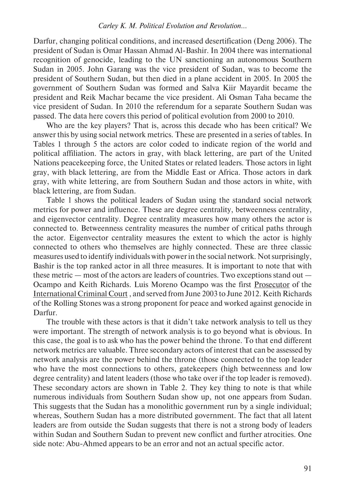Darfur, changing political conditions, and increased desertification (Deng 2006). The president of Sudan is Omar Hassan Ahmad Al-Bashir. In 2004 there was international recognition of genocide, leading to the UN sanctioning an autonomous Southern Sudan in 2005. John Garang was the vice president of Sudan, was to become the president of Southern Sudan, but then died in a plane accident in 2005. In 2005 the government of Southern Sudan was formed and Salva Kiir Mayardit became the president and Reik Machar became the vice president. Ali Osman Taha became the vice president of Sudan. In 2010 the referendum for a separate Southern Sudan was passed. The data here covers this period of political evolution from 2000 to 2010.

Who are the key players? That is, across this decade who has been critical? We answer this by using social network metrics. These are presented in a series of tables. In Tables 1 through 5 the actors are color coded to indicate region of the world and political affiliation. The actors in gray, with black lettering, are part of the United Nations peacekeeping force, the United States or related leaders. Those actors in light gray, with black lettering, are from the Middle East or Africa. Those actors in dark gray, with white lettering, are from Southern Sudan and those actors in white, with black lettering, are from Sudan.

Table 1 shows the political leaders of Sudan using the standard social network metrics for power and influence. These are degree centrality, betweenness centrality, and eigenvector centrality. Degree centrality measures how many others the actor is connected to. Betweenness centrality measures the number of critical paths through the actor. Eigenvector centrality measures the extent to which the actor is highly connected to others who themselves are highly connected. These are three classic measures used to identify individuals with power in the social network. Not surprisingly, Bashir is the top ranked actor in all three measures. It is important to note that with these metric — most of the actors are leaders of countries. Two exceptions stand out — Ocampo and Keith Richards. Luis Moreno Ocampo was the first Prosecutor of the International Criminal Court , and served from June 2003 to June 2012. Keith Richards of the Rolling Stones was a strong proponent for peace and worked against genocide in Darfur.

The trouble with these actors is that it didn't take network analysis to tell us they were important. The strength of network analysis is to go beyond what is obvious. In this case, the goal is to ask who has the power behind the throne. To that end different network metrics are valuable. Three secondary actors of interest that can be assessed by network analysis are the power behind the throne (those connected to the top leader who have the most connections to others, gatekeepers (high betweenness and low degree centrality) and latent leaders (those who take over if the top leader is removed). These secondary actors are shown in Table 2. They key thing to note is that while numerous individuals from Southern Sudan show up, not one appears from Sudan. This suggests that the Sudan has a monolithic government run by a single individual; whereas, Southern Sudan has a more distributed government. The fact that all latent leaders are from outside the Sudan suggests that there is not a strong body of leaders within Sudan and Southern Sudan to prevent new conflict and further atrocities. One side note: Abu-Ahmed appears to be an error and not an actual specific actor.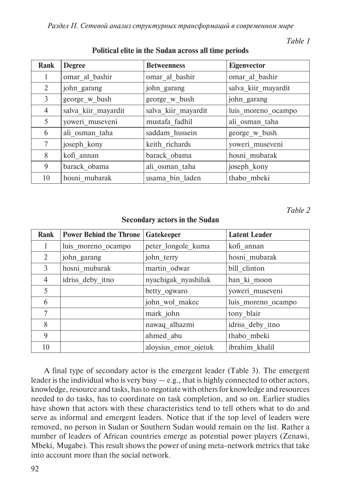*Раздел ii. Сетевой анализ структурных трансформаций в современном мире*

*Table 1* 

| Rank | <b>Degree</b>       | <b>Betweenness</b>  | <b>Eigenvector</b>  |  |
|------|---------------------|---------------------|---------------------|--|
| 1    | omar al bashir      | omar al bashir      | omar al bashir      |  |
| 2    | john_garang         | john_garang         | salva_kiir_mayardit |  |
| 3    | george_w_bush       | george_w_bush       | john_garang         |  |
| 4    | salva kiir mayardit | salva kiir mayardit | luis moreno ocampo  |  |
| 5    | yoweri museveni     | mustafa fadhil      | ali osman taha      |  |
| 6    | ali osman taha      | saddam hussein      | george_w_bush       |  |
| 7    | joseph kony         | keith richards      | yoweri museveni     |  |
| 8    | kofi annan          | barack obama        | hosni mubarak       |  |
| 9    | barack obama        | ali osman taha      | joseph kony         |  |
| 10   | hosni mubarak       | usama bin laden     | thabo mbeki         |  |

# **Political elite in the Sudan across all time periods**

*Table 2*

| Rank | <b>Power Behind the Throne</b> | Gatekeeper           | <b>Latent Leader</b> |  |
|------|--------------------------------|----------------------|----------------------|--|
|      | luis moreno_ocampo             | peter longole kuma   | kofi annan           |  |
| 2    | john garang                    | john terry           | hosni mubarak        |  |
| 3    | hosni mubarak                  | martin odwar         | bill clinton         |  |
| 4    | idriss deby itno               | nyachigak nyashiluk  | ban ki moon          |  |
| 5    |                                | betty ogwaro         | yoweri museveni      |  |
| 6    |                                | john wol makec       | luis moreno ocampo   |  |
| 7    |                                | mark john            | tony_blair           |  |
| 8    |                                | nawaq alhazmi        | idriss deby itno     |  |
| 9    |                                | ahmed abu            | thabo mbeki          |  |
| 10   |                                | aloysius emor ojetuk | ibrahim khalil       |  |

### **Secondary actors in the Sudan**

A final type of secondary actor is the emergent leader (Table 3). The emergent leader is the individual who is very busy  $-e.g.,$  that is highly connected to other actors, knowledge, resource and tasks, has to negotiate with others for knowledge and resources needed to do tasks, has to coordinate on task completion, and so on. Earlier studies have shown that actors with these characteristics tend to tell others what to do and serve as informal and emergent leaders. Notice that if the top level of leaders were removed, no person in Sudan or Southern Sudan would remain on the list. Rather a number of leaders of African countries emerge as potential power players (Zenawi, Mbeki, Mugabe). This result shows the power of using meta-network metrics that take into account more than the social network.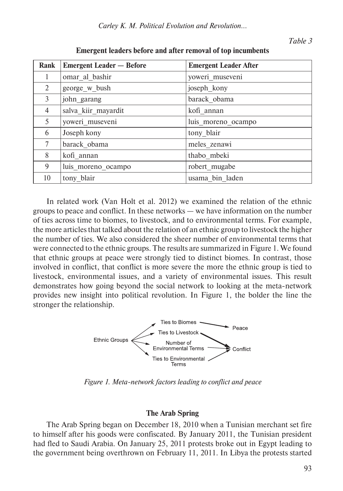| Rank           | <b>Emergent Leader – Before</b> | <b>Emergent Leader After</b> |
|----------------|---------------------------------|------------------------------|
| 1              | omar al bashir                  | yoweri_museveni              |
| $\overline{2}$ | george w bush                   | joseph_kony                  |
| 3              | john garang                     | barack obama                 |
| 4              | salva_kiir_mayardit             | kofi annan                   |
| 5              | yoweri museveni                 | luis moreno ocampo           |
| 6              | Joseph kony                     | tony_blair                   |
| 7              | barack_obama                    | meles zenawi                 |
| 8              | kofi annan                      | thabo mbeki                  |
| 9              | luis moreno ocampo              | robert mugabe                |
| 10             | tony blair                      | usama bin laden              |

**Emergent leaders before and after removal of top incumbents**

In related work (Van Holt et al. 2012) we examined the relation of the ethnic groups to peace and conflict. In these networks — we have information on the number of ties across time to biomes, to livestock, and to environmental terms. For example, the more articles that talked about the relation of an ethnic group to livestock the higher the number of ties. We also considered the sheer number of environmental terms that were connected to the ethnic groups. The results are summarized in Figure 1. We found that ethnic groups at peace were strongly tied to distinct biomes. In contrast, those involved in conflict, that conflict is more severe the more the ethnic group is tied to livestock, environmental issues, and a variety of environmental issues. This result demonstrates how going beyond the social network to looking at the meta-network provides new insight into political revolution. In Figure 1, the bolder the line the stronger the relationship.



*Figure 1. Meta-network factors leading to conflict and peace*

### **The Arab Spring**

The Arab Spring began on December 18, 2010 when a Tunisian merchant set fire to himself after his goods were confiscated. By January 2011, the Tunisian president had fled to Saudi Arabia. On January 25, 2011 protests broke out in Egypt leading to the government being overthrown on February 11, 2011. In Libya the protests started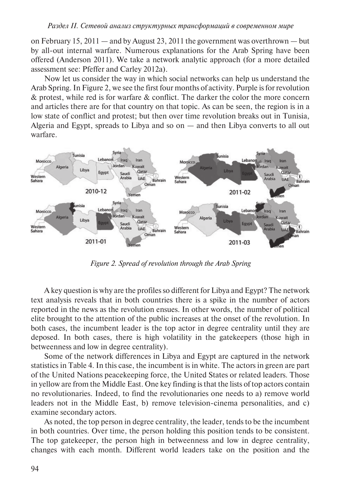#### *Раздел ii. Сетевой анализ структурных трансформаций в современном мире*

on February 15,  $2011$  — and by August 23,  $2011$  the government was overthrown — but by all-out internal warfare. Numerous explanations for the Arab Spring have been offered (Anderson 2011). We take a network analytic approach (for a more detailed assessment see: Pfeffer and Carley 2012a).

Now let us consider the way in which social networks can help us understand the Arab Spring. In Figure 2, we see the first four months of activity. Purple is for revolution & protest, while red is for warfare & conflict. The darker the color the more concern and articles there are for that country on that topic. As can be seen, the region is in a low state of conflict and protest; but then over time revolution breaks out in Tunisia, Algeria and Egypt, spreads to Libya and so on — and then Libya converts to all out warfare.



*Figure 2. Spread of revolution through the Arab Spring*

A key question is why are the profiles so different for Libya and Egypt? The network text analysis reveals that in both countries there is a spike in the number of actors reported in the news as the revolution ensues. In other words, the number of political elite brought to the attention of the public increases at the onset of the revolution. In both cases, the incumbent leader is the top actor in degree centrality until they are deposed. In both cases, there is high volatility in the gatekeepers (those high in betweenness and low in degree centrality).

Some of the network differences in Libya and Egypt are captured in the network statistics in Table 4. In this case, the incumbent is in white. The actors in green are part of the United Nations peacekeeping force, the United States or related leaders. Those in yellow are from the Middle East. One key finding is that the lists of top actors contain no revolutionaries. Indeed, to find the revolutionaries one needs to a) remove world leaders not in the Middle East, b) remove television-cinema personalities, and c) examine secondary actors.

As noted, the top person in degree centrality, the leader, tends to be the incumbent in both countries. Over time, the person holding this position tends to be consistent. The top gatekeeper, the person high in betweenness and low in degree centrality, changes with each month. Different world leaders take on the position and the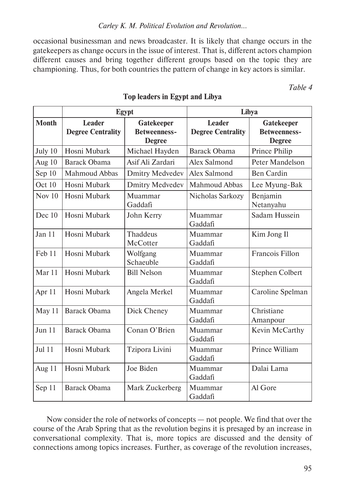occasional businessman and news broadcaster. It is likely that change occurs in the gatekeepers as change occurs in the issue of interest. That is, different actors champion different causes and bring together different groups based on the topic they are championing. Thus, for both countries the pattern of change in key actors is similar.

*Table 4* 

|              | <b>Egypt</b>                              |                                                           | Libya                              |                                                           |
|--------------|-------------------------------------------|-----------------------------------------------------------|------------------------------------|-----------------------------------------------------------|
| <b>Month</b> | <b>Leader</b><br><b>Degree Centrality</b> | <b>Gatekeeper</b><br><b>Betweenness-</b><br><b>Degree</b> | Leader<br><b>Degree Centrality</b> | <b>Gatekeeper</b><br><b>Betweenness-</b><br><b>Degree</b> |
| July 10      | Hosni Mubark                              | Michael Hayden                                            | Barack Obama                       | Prince Philip                                             |
| Aug 10       | <b>Barack Obama</b>                       | Asif Ali Zardari                                          | Alex Salmond                       | Peter Mandelson                                           |
| Sep 10       | Mahmoud Abbas                             | <b>Dmitry Medvedev</b>                                    | Alex Salmond                       | <b>Ben Cardin</b>                                         |
| Oct 10       | Hosni Mubark                              | <b>Dmitry Medvedev</b>                                    | Mahmoud Abbas                      | Lee Myung-Bak                                             |
| Nov $10$     | Hosni Mubark                              | Muammar<br>Gaddafi                                        | Nicholas Sarkozy                   | Benjamin<br>Netanyahu                                     |
| Dec 10       | Hosni Mubark                              | John Kerry                                                | Muammar<br>Gaddafi                 | Sadam Hussein                                             |
| Jan 11       | Hosni Mubark                              | Thaddeus<br>McCotter                                      | Muammar<br>Gaddafi                 | Kim Jong Il                                               |
| Feb 11       | Hosni Mubark                              | Wolfgang<br>Schaeuble                                     | Muammar<br>Gaddafi                 | Francois Fillon                                           |
| Mar 11       | Hosni Mubark                              | <b>Bill Nelson</b>                                        | Muammar<br>Gaddafi                 | Stephen Colbert                                           |
| Apr 11       | Hosni Mubark                              | Angela Merkel                                             | Muammar<br>Gaddafi                 | Caroline Spelman                                          |
| May 11       | Barack Obama                              | Dick Cheney                                               | Muammar<br>Gaddafi                 | Christiane<br>Amanpour                                    |
| Jun 11       | <b>Barack Obama</b>                       | Conan O'Brien                                             | Muammar<br>Gaddafi                 | Kevin McCarthy                                            |
| Jul 11       | Hosni Mubark                              | Tzipora Livini                                            | Muammar<br>Gaddafi                 | Prince William                                            |
| Aug 11       | Hosni Mubark                              | Joe Biden                                                 | Muammar<br>Gaddafi                 | Dalai Lama                                                |
| Sep 11       | Barack Obama                              | Mark Zuckerberg                                           | Muammar<br>Gaddafi                 | Al Gore                                                   |

# **Top leaders in Egypt and Libya**

Now consider the role of networks of concepts — not people. We find that over the course of the Arab Spring that as the revolution begins it is presaged by an increase in conversational complexity. That is, more topics are discussed and the density of connections among topics increases. Further, as coverage of the revolution increases,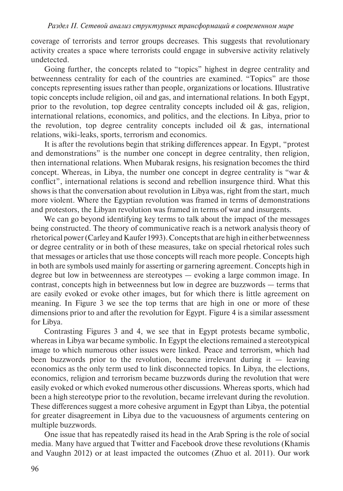coverage of terrorists and terror groups decreases. This suggests that revolutionary activity creates a space where terrorists could engage in subversive activity relatively undetected.

Going further, the concepts related to "topics" highest in degree centrality and betweenness centrality for each of the countries are examined. "Topics" are those concepts representing issues rather than people, organizations or locations. Illustrative topic concepts include religion, oil and gas, and international relations. In both Egypt, prior to the revolution, top degree centrality concepts included oil  $\&$  gas, religion, international relations, economics, and politics, and the elections. In Libya, prior to the revolution, top degree centrality concepts included oil  $\&$  gas, international relations, wiki-leaks, sports, terrorism and economics.

It is after the revolutions begin that striking differences appear. In Egypt, "protest and demonstrations" is the number one concept in degree centrality, then religion. then international relations. When Mubarak resigns, his resignation becomes the third concept. Whereas, in Libya, the number one concept in degree centrality is "war & conflict", international relations is second and rebellion insurgence third. What this shows is that the conversation about revolution in Libya was, right from the start, much more violent. Where the Egyptian revolution was framed in terms of demonstrations and protestors, the Libyan revolution was framed in terms of war and insurgents.

We can go beyond identifying key terms to talk about the impact of the messages being constructed. The theory of communicative reach is a network analysis theory of rhetorical power (Carley and Kaufer 1993). Concepts that are high in either betweenness or degree centrality or in both of these measures, take on special rhetorical roles such that messages or articles that use those concepts will reach more people. Concepts high in both are symbols used mainly for asserting or garnering agreement. Concepts high in degree but low in betweenness are stereotypes — evoking a large common image. In contrast, concepts high in betweenness but low in degree are buzzwords — terms that are easily evoked or evoke other images, but for which there is little agreement on meaning. In Figure 3 we see the top terms that are high in one or more of these dimensions prior to and after the revolution for Egypt. Figure 4 is a similar assessment for Libya.

Contrasting Figures 3 and 4, we see that in Egypt protests became symbolic, whereas in Libya war became symbolic. In Egypt the elections remained a stereotypical image to which numerous other issues were linked. Peace and terrorism, which had been buzzwords prior to the revolution, became irrelevant during it  $-$  leaving economics as the only term used to link disconnected topics. In Libya, the elections, economics, religion and terrorism became buzzwords during the revolution that were easily evoked or which evoked numerous other discussions. Whereas sports, which had been a high stereotype prior to the revolution, became irrelevant during the revolution. These differences suggest a more cohesive argument in Egypt than Libya, the potential for greater disagreement in Libya due to the vacuousness of arguments centering on multiple buzzwords.

One issue that has repeatedly raised its head in the Arab Spring is the role of social media. Many have argued that Twitter and Facebook drove these revolutions (Khamis and Vaughn 2012) or at least impacted the outcomes (Zhuo et al. 2011). Our work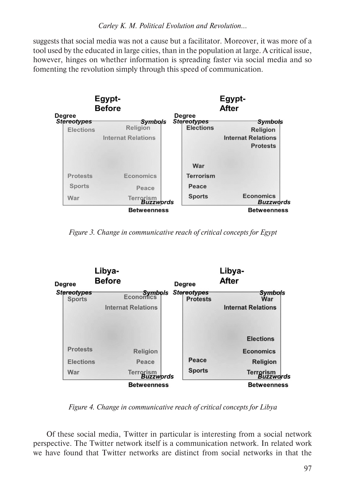suggests that social media was not a cause but a facilitator. Moreover, it was more of a tool used by the educated in large cities, than in the population at large. A critical issue, however, hinges on whether information is spreading faster via social media and so fomenting the revolution simply through this speed of communication.



*Figure 3. Change in communicative reach of critical concepts for Egypt*



*Figure 4. Change in communicative reach of critical concepts for Libya*

Of these social media, Twitter in particular is interesting from a social network perspective. The Twitter network itself is a communication network. In related work we have found that Twitter networks are distinct from social networks in that the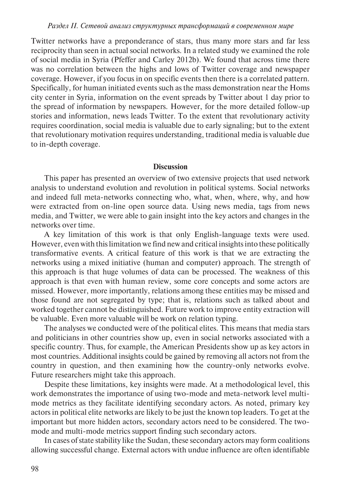Twitter networks have a preponderance of stars, thus many more stars and far less reciprocity than seen in actual social networks. In a related study we examined the role of social media in Syria (Pfeffer and Carley 2012b). We found that across time there was no correlation between the highs and lows of Twitter coverage and newspaper coverage. However, if you focus in on specific events then there is a correlated pattern. Specifically, for human initiated events such as the mass demonstration near the Homs city center in Syria, information on the event spreads by Twitter about 1 day prior to the spread of information by newspapers. However, for the more detailed follow-up stories and information, news leads Twitter. To the extent that revolutionary activity requires coordination, social media is valuable due to early signaling; but to the extent that revolutionary motivation requires understanding, traditional media is valuable due to in-depth coverage.

### **Discussion**

This paper has presented an overview of two extensive projects that used network analysis to understand evolution and revolution in political systems. Social networks and indeed full meta-networks connecting who, what, when, where, why, and how were extracted from on-line open source data. Using news media, tags from news media, and Twitter, we were able to gain insight into the key actors and changes in the networks over time.

A key limitation of this work is that only English-language texts were used. However, even with this limitation we find new and critical insights into these politically transformative events. A critical feature of this work is that we are extracting the networks using a mixed initiative (human and computer) approach. The strength of this approach is that huge volumes of data can be processed. The weakness of this approach is that even with human review, some core concepts and some actors are missed. However, more importantly, relations among these entities may be missed and those found are not segregated by type; that is, relations such as talked about and worked together cannot be distinguished. Future work to improve entity extraction will be valuable. Even more valuable will be work on relation typing.

The analyses we conducted were of the political elites. This means that media stars and politicians in other countries show up, even in social networks associated with a specific country. Thus, for example, the American Presidents show up as key actors in most countries. Additional insights could be gained by removing all actors not from the country in question, and then examining how the country-only networks evolve. Future researchers might take this approach.

Despite these limitations, key insights were made. At a methodological level, this work demonstrates the importance of using two-mode and meta-network level multimode metrics as they facilitate identifying secondary actors. As noted, primary key actors in political elite networks are likely to be just the known top leaders. To get at the important but more hidden actors, secondary actors need to be considered. The twomode and multi-mode metrics support finding such secondary actors.

In cases of state stability like the Sudan, these secondary actors may form coalitions allowing successful change. External actors with undue influence are often identifiable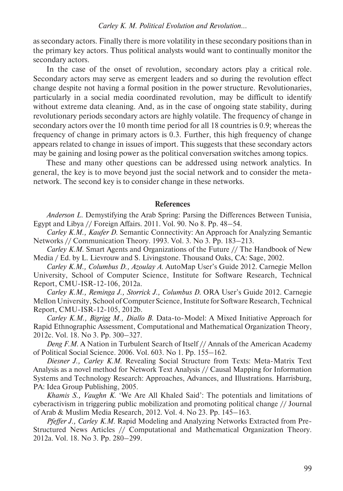as secondary actors. Finally there is more volatility in these secondary positions than in the primary key actors. Thus political analysts would want to continually monitor the secondary actors.

In the case of the onset of revolution, secondary actors play a critical role. Secondary actors may serve as emergent leaders and so during the revolution effect change despite not having a formal position in the power structure. Revolutionaries, particularly in a social media coordinated revolution, may be difficult to identify without extreme data cleaning. And, as in the case of ongoing state stability, during revolutionary periods secondary actors are highly volatile. The frequency of change in secondary actors over the 10 month time period for all 18 countries is 0.9; whereas the frequency of change in primary actors is 0.3. Further, this high frequency of change appears related to change in issues of import. This suggests that these secondary actors may be gaining and losing power as the political conversation switches among topics.

These and many other questions can be addressed using network analytics. In general, the key is to move beyond just the social network and to consider the metanetwork. The second key is to consider change in these networks.

### **References**

*Anderson L*. Demystifying the Arab Spring: Parsing the Differences Between Tunisia, Egypt and Libya // Foreign Affairs. 2011. Vol. 90. No 8. Pp. 48–54.

*Carley K.M., Kaufer D*. Semantic Connectivity: An Approach for Analyzing Semantic Networks // Communication Theory. 1993. Vol. 3. No 3. Pp. 183–213.

*Carley K.M*. Smart Agents and Organizations of the Future // The Handbook of New Media / Ed. by L. Lievrouw and S. Livingstone. Thousand Oaks, CA: Sage, 2002.

*Carley K.M., Columbus D., Azoulay A*. AutoMap User's Guide 2012. Carnegie Mellon University, School of Computer Science, Institute for Software Research, Technical Report, CMU-ISR-12-106, 2012a.

*Carley K.M., Reminga J., Storrick J., Columbus D*. ORA User's Guide 2012. Carnegie Mellon University, School of Computer Science, Institute for Software Research, Technical Report, CMU-ISR-12-105, 2012b.

*Carley K.M., Bigrigg M., Diallo B*. Data-to-Model: A Mixed Initiative Approach for Rapid Ethnographic Assessment, Computational and Mathematical Organization Theory, 2012c. Vol. 18. No 3. Pp. 300–327.

*Deng F.M*. A Nation in Turbulent Search of Itself // Annals of the American Academy of Political Social Science. 2006. Vol. 603. No 1. Pp. 155–162.

*Diesner J., Carley K.M*. Revealing Social Structure from Texts: Meta-Matrix Text Analysis as a novel method for Network Text Analysis // Causal Mapping for Information Systems and Technology Research: Approaches, Advances, and Illustrations. Harrisburg, PA: Idea Group Publishing, 2005.

*Khamis S., Vaughn K*. 'We Are All Khaled Said': The potentials and limitations of cyberactivism in triggering public mobilization and promoting political change // Journal of Arab & Muslim Media Research, 2012. Vol. 4. No 23. Pp. 145–163.

*Pfeffer J., Carley K.M*. Rapid Modeling and Analyzing Networks Extracted from Pre-Structured News Articles // Computational and Mathematical Organization Theory. 2012a. Vol. 18. No 3. Pp. 280–299.